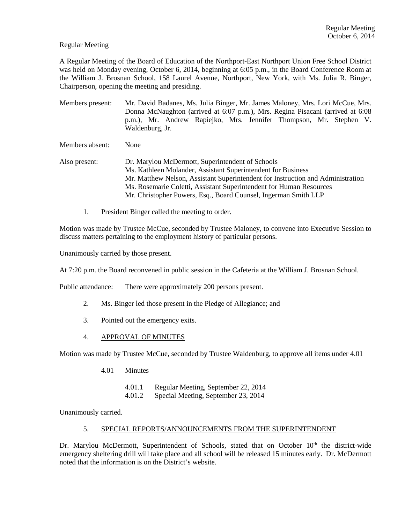## Regular Meeting

A Regular Meeting of the Board of Education of the Northport-East Northport Union Free School District was held on Monday evening, October 6, 2014, beginning at 6:05 p.m., in the Board Conference Room at the William J. Brosnan School, 158 Laurel Avenue, Northport, New York, with Ms. Julia R. Binger, Chairperson, opening the meeting and presiding.

Members present: Mr. David Badanes, Ms. Julia Binger, Mr. James Maloney, Mrs. Lori McCue, Mrs. Donna McNaughton (arrived at 6:07 p.m.), Mrs. Regina Pisacani (arrived at 6:08 p.m.), Mr. Andrew Rapiejko, Mrs. Jennifer Thompson, Mr. Stephen V. Waldenburg, Jr.

Members absent: None

- Also present: Dr. Marylou McDermott, Superintendent of Schools Ms. Kathleen Molander, Assistant Superintendent for Business Mr. Matthew Nelson, Assistant Superintendent for Instruction and Administration Ms. Rosemarie Coletti, Assistant Superintendent for Human Resources Mr. Christopher Powers, Esq., Board Counsel, Ingerman Smith LLP
	- 1. President Binger called the meeting to order.

Motion was made by Trustee McCue, seconded by Trustee Maloney, to convene into Executive Session to discuss matters pertaining to the employment history of particular persons.

Unanimously carried by those present.

At 7:20 p.m. the Board reconvened in public session in the Cafeteria at the William J. Brosnan School.

Public attendance: There were approximately 200 persons present.

- 2. Ms. Binger led those present in the Pledge of Allegiance; and
- 3. Pointed out the emergency exits.
- 4. APPROVAL OF MINUTES

Motion was made by Trustee McCue, seconded by Trustee Waldenburg, to approve all items under 4.01

- 4.01 Minutes
	- 4.01.1 Regular Meeting, September 22, 2014
	- 4.01.2 Special Meeting, September 23, 2014

Unanimously carried.

### 5. SPECIAL REPORTS/ANNOUNCEMENTS FROM THE SUPERINTENDENT

Dr. Marylou McDermott, Superintendent of Schools, stated that on October 10<sup>th</sup> the district-wide emergency sheltering drill will take place and all school will be released 15 minutes early. Dr. McDermott noted that the information is on the District's website.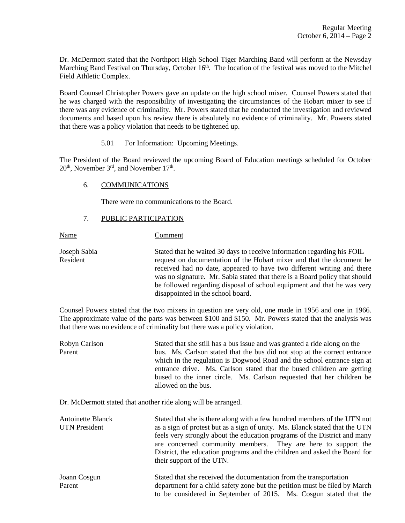Dr. McDermott stated that the Northport High School Tiger Marching Band will perform at the Newsday Marching Band Festival on Thursday, October  $16<sup>th</sup>$ . The location of the festival was moved to the Mitchel Field Athletic Complex.

Board Counsel Christopher Powers gave an update on the high school mixer. Counsel Powers stated that he was charged with the responsibility of investigating the circumstances of the Hobart mixer to see if there was any evidence of criminality. Mr. Powers stated that he conducted the investigation and reviewed documents and based upon his review there is absolutely no evidence of criminality. Mr. Powers stated that there was a policy violation that needs to be tightened up.

### 5.01 For Information: Upcoming Meetings.

The President of the Board reviewed the upcoming Board of Education meetings scheduled for October  $20<sup>th</sup>$ , November  $3<sup>rd</sup>$ , and November  $17<sup>th</sup>$ .

### 6. COMMUNICATIONS

There were no communications to the Board.

### 7. PUBLIC PARTICIPATION

Name Comment

Joseph Sabia Stated that he waited 30 days to receive information regarding his FOIL Resident request on documentation of the Hobart mixer and that the document he received had no date, appeared to have two different writing and there was no signature. Mr. Sabia stated that there is a Board policy that should be followed regarding disposal of school equipment and that he was very disappointed in the school board.

to be considered in September of 2015. Ms. Cosgun stated that the

Counsel Powers stated that the two mixers in question are very old, one made in 1956 and one in 1966. The approximate value of the parts was between \$100 and \$150. Mr. Powers stated that the analysis was that there was no evidence of criminality but there was a policy violation.

Robyn Carlson Stated that she still has a bus issue and was granted a ride along on the Parent bus. Ms. Carlson stated that the bus did not stop at the correct entrance which in the regulation is Dogwood Road and the school entrance sign at entrance drive. Ms. Carlson stated that the bused children are getting bused to the inner circle. Ms. Carlson requested that her children be allowed on the bus.

Dr. McDermott stated that another ride along will be arranged.

| Stated that she is there along with a few hundred members of the UTN not<br>as a sign of protest but as a sign of unity. Ms. Blanck stated that the UTN<br>feels very strongly about the education programs of the District and many<br>are concerned community members. They are here to support the<br>District, the education programs and the children and asked the Board for<br>their support of the UTN. |
|-----------------------------------------------------------------------------------------------------------------------------------------------------------------------------------------------------------------------------------------------------------------------------------------------------------------------------------------------------------------------------------------------------------------|
| Stated that she received the documentation from the transportation<br>department for a child safety zone but the petition must be filed by March                                                                                                                                                                                                                                                                |
|                                                                                                                                                                                                                                                                                                                                                                                                                 |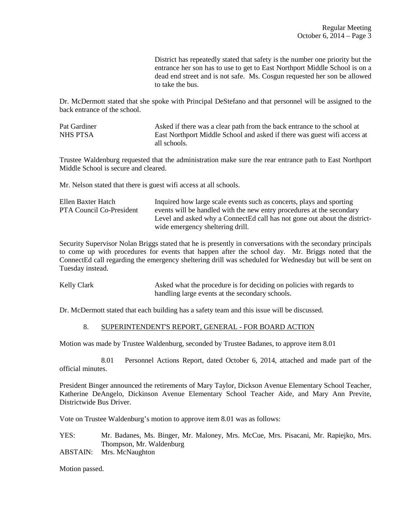District has repeatedly stated that safety is the number one priority but the entrance her son has to use to get to East Northport Middle School is on a dead end street and is not safe. Ms. Cosgun requested her son be allowed to take the bus.

Dr. McDermott stated that she spoke with Principal DeStefano and that personnel will be assigned to the back entrance of the school.

Pat Gardiner Asked if there was a clear path from the back entrance to the school at NHS PTSA East Northport Middle School and asked if there was guest wifi access at all schools.

Trustee Waldenburg requested that the administration make sure the rear entrance path to East Northport Middle School is secure and cleared.

Mr. Nelson stated that there is guest wifi access at all schools.

| Ellen Baxter Hatch       | Inquired how large scale events such as concerts, plays and sporting      |
|--------------------------|---------------------------------------------------------------------------|
| PTA Council Co-President | events will be handled with the new entry procedures at the secondary     |
|                          | Level and asked why a ConnectEd call has not gone out about the district- |
|                          | wide emergency sheltering drill.                                          |

Security Supervisor Nolan Briggs stated that he is presently in conversations with the secondary principals to come up with procedures for events that happen after the school day. Mr. Briggs noted that the ConnectEd call regarding the emergency sheltering drill was scheduled for Wednesday but will be sent on Tuesday instead.

Kelly Clark Asked what the procedure is for deciding on policies with regards to handling large events at the secondary schools.

Dr. McDermott stated that each building has a safety team and this issue will be discussed.

# 8. SUPERINTENDENT'S REPORT, GENERAL - FOR BOARD ACTION

Motion was made by Trustee Waldenburg, seconded by Trustee Badanes, to approve item 8.01

 8.01 Personnel Actions Report, dated October 6, 2014, attached and made part of the official minutes.

President Binger announced the retirements of Mary Taylor, Dickson Avenue Elementary School Teacher, Katherine DeAngelo, Dickinson Avenue Elementary School Teacher Aide, and Mary Ann Previte, Districtwide Bus Driver.

Vote on Trustee Waldenburg's motion to approve item 8.01 was as follows:

- YES: Mr. Badanes, Ms. Binger, Mr. Maloney, Mrs. McCue, Mrs. Pisacani, Mr. Rapiejko, Mrs. Thompson, Mr. Waldenburg
- ABSTAIN: Mrs. McNaughton

Motion passed.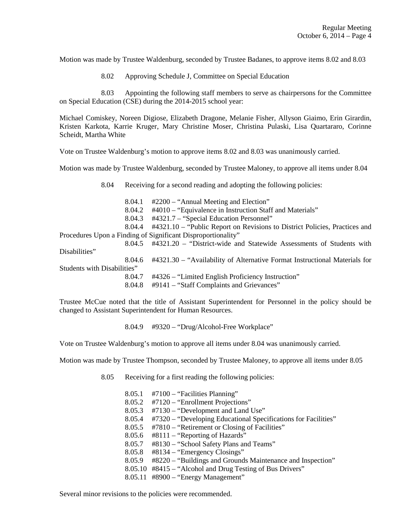Motion was made by Trustee Waldenburg, seconded by Trustee Badanes, to approve items 8.02 and 8.03

8.02 Approving Schedule J, Committee on Special Education

 8.03 Appointing the following staff members to serve as chairpersons for the Committee on Special Education (CSE) during the 2014-2015 school year:

Michael Comiskey, Noreen Digiose, Elizabeth Dragone, Melanie Fisher, Allyson Giaimo, Erin Girardin, Kristen Karkota, Karrie Kruger, Mary Christine Moser, Christina Pulaski, Lisa Quartararo, Corinne Scheidt, Martha White

Vote on Trustee Waldenburg's motion to approve items 8.02 and 8.03 was unanimously carried.

Motion was made by Trustee Waldenburg, seconded by Trustee Maloney, to approve all items under 8.04

8.04 Receiving for a second reading and adopting the following policies:

8.04.1 #2200 – "Annual Meeting and Election"

8.04.2 #4010 – "Equivalence in Instruction Staff and Materials"

8.04.3 #4321.7 – "Special Education Personnel"

 8.04.4 #4321.10 – "Public Report on Revisions to District Policies, Practices and Procedures Upon a Finding of Significant Disproportionality"

 8.04.5 #4321.20 – "District-wide and Statewide Assessments of Students with Disabilities" 8.04.6 #4321.30 – "Availability of Alternative Format Instructional Materials for Students with Disabilities" 8.04.7 #4326 – "Limited English Proficiency Instruction" 8.04.8 #9141 – "Staff Complaints and Grievances"

Trustee McCue noted that the title of Assistant Superintendent for Personnel in the policy should be changed to Assistant Superintendent for Human Resources.

8.04.9 #9320 – "Drug/Alcohol-Free Workplace"

Vote on Trustee Waldenburg's motion to approve all items under 8.04 was unanimously carried.

Motion was made by Trustee Thompson, seconded by Trustee Maloney, to approve all items under 8.05

- 8.05 Receiving for a first reading the following policies:
	- 8.05.1 #7100 "Facilities Planning" 8.05.2 #7120 – "Enrollment Projections" 8.05.3 #7130 – "Development and Land Use" 8.05.4 #7320 – "Developing Educational Specifications for Facilities" 8.05.5 #7810 – "Retirement or Closing of Facilities" 8.05.6 #8111 – "Reporting of Hazards" 8.05.7 #8130 – "School Safety Plans and Teams" 8.05.8 #8134 – "Emergency Closings" 8.05.9 #8220 – "Buildings and Grounds Maintenance and Inspection" 8.05.10 #8415 – "Alcohol and Drug Testing of Bus Drivers" 8.05.11 #8900 – "Energy Management"

Several minor revisions to the policies were recommended.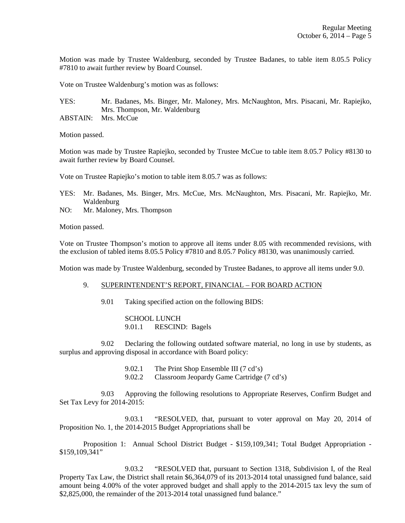Motion was made by Trustee Waldenburg, seconded by Trustee Badanes, to table item 8.05.5 Policy #7810 to await further review by Board Counsel.

Vote on Trustee Waldenburg's motion was as follows:

YES: Mr. Badanes, Ms. Binger, Mr. Maloney, Mrs. McNaughton, Mrs. Pisacani, Mr. Rapiejko, Mrs. Thompson, Mr. Waldenburg ABSTAIN: Mrs. McCue

Motion passed.

Motion was made by Trustee Rapiejko, seconded by Trustee McCue to table item 8.05.7 Policy #8130 to await further review by Board Counsel.

Vote on Trustee Rapiejko's motion to table item 8.05.7 was as follows:

- YES: Mr. Badanes, Ms. Binger, Mrs. McCue, Mrs. McNaughton, Mrs. Pisacani, Mr. Rapiejko, Mr. Waldenburg
- NO: Mr. Maloney, Mrs. Thompson

Motion passed.

Vote on Trustee Thompson's motion to approve all items under 8.05 with recommended revisions, with the exclusion of tabled items 8.05.5 Policy #7810 and 8.05.7 Policy #8130, was unanimously carried.

Motion was made by Trustee Waldenburg, seconded by Trustee Badanes, to approve all items under 9.0.

#### 9. SUPERINTENDENT'S REPORT, FINANCIAL – FOR BOARD ACTION

9.01 Taking specified action on the following BIDS:

 SCHOOL LUNCH 9.01.1 RESCIND: Bagels

 9.02 Declaring the following outdated software material, no long in use by students, as surplus and approving disposal in accordance with Board policy:

- 9.02.1 The Print Shop Ensemble III (7 cd's)
- 9.02.2 Classroom Jeopardy Game Cartridge (7 cd's)

 9.03 Approving the following resolutions to Appropriate Reserves, Confirm Budget and Set Tax Levy for 2014-2015:

 9.03.1 "RESOLVED, that, pursuant to voter approval on May 20, 2014 of Proposition No. 1, the 2014-2015 Budget Appropriations shall be

Proposition 1: Annual School District Budget - \$159,109,341; Total Budget Appropriation - \$159,109,341"

 9.03.2 "RESOLVED that, pursuant to Section 1318, Subdivision I, of the Real Property Tax Law, the District shall retain \$6,364,079 of its 2013-2014 total unassigned fund balance, said amount being 4.00% of the voter approved budget and shall apply to the 2014-2015 tax levy the sum of \$2,825,000, the remainder of the 2013-2014 total unassigned fund balance."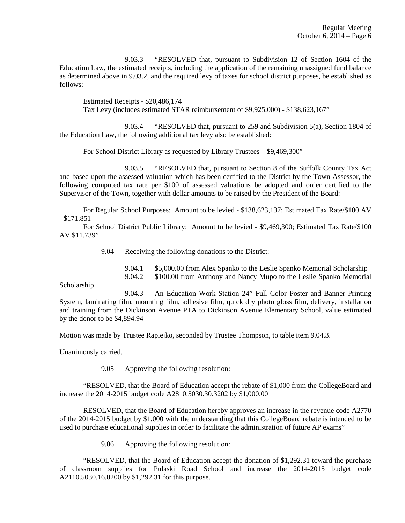9.03.3 "RESOLVED that, pursuant to Subdivision 12 of Section 1604 of the Education Law, the estimated receipts, including the application of the remaining unassigned fund balance as determined above in 9.03.2, and the required levy of taxes for school district purposes, be established as follows:

Estimated Receipts - \$20,486,174 Tax Levy (includes estimated STAR reimbursement of \$9,925,000) - \$138,623,167"

 9.03.4 "RESOLVED that, pursuant to 259 and Subdivision 5(a), Section 1804 of the Education Law, the following additional tax levy also be established:

For School District Library as requested by Library Trustees – \$9,469,300"

 9.03.5 "RESOLVED that, pursuant to Section 8 of the Suffolk County Tax Act and based upon the assessed valuation which has been certified to the District by the Town Assessor, the following computed tax rate per \$100 of assessed valuations be adopted and order certified to the Supervisor of the Town, together with dollar amounts to be raised by the President of the Board:

For Regular School Purposes: Amount to be levied - \$138,623,137; Estimated Tax Rate/\$100 AV - \$171.851

For School District Public Library: Amount to be levied - \$9,469,300; Estimated Tax Rate/\$100 AV \$11.739"

9.04 Receiving the following donations to the District:

 9.04.1 \$5,000.00 from Alex Spanko to the Leslie Spanko Memorial Scholarship 9.04.2 \$100.00 from Anthony and Nancy Mupo to the Leslie Spanko Memorial

Scholarship

 9.04.3 An Education Work Station 24" Full Color Poster and Banner Printing System, laminating film, mounting film, adhesive film, quick dry photo gloss film, delivery, installation and training from the Dickinson Avenue PTA to Dickinson Avenue Elementary School, value estimated by the donor to be \$4,894.94

Motion was made by Trustee Rapiejko, seconded by Trustee Thompson, to table item 9.04.3.

Unanimously carried.

9.05 Approving the following resolution:

 "RESOLVED, that the Board of Education accept the rebate of \$1,000 from the CollegeBoard and increase the 2014-2015 budget code A2810.5030.30.3202 by \$1,000.00

 RESOLVED, that the Board of Education hereby approves an increase in the revenue code A2770 of the 2014-2015 budget by \$1,000 with the understanding that this CollegeBoard rebate is intended to be used to purchase educational supplies in order to facilitate the administration of future AP exams"

9.06 Approving the following resolution:

 "RESOLVED, that the Board of Education accept the donation of \$1,292.31 toward the purchase of classroom supplies for Pulaski Road School and increase the 2014-2015 budget code A2110.5030.16.0200 by \$1,292.31 for this purpose.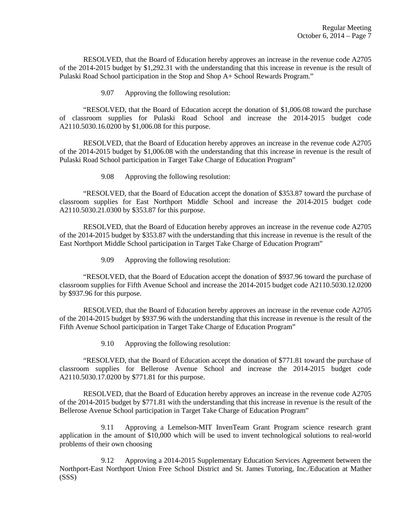RESOLVED, that the Board of Education hereby approves an increase in the revenue code A2705 of the 2014-2015 budget by \$1,292.31 with the understanding that this increase in revenue is the result of Pulaski Road School participation in the Stop and Shop A+ School Rewards Program."

9.07 Approving the following resolution:

 "RESOLVED, that the Board of Education accept the donation of \$1,006.08 toward the purchase of classroom supplies for Pulaski Road School and increase the 2014-2015 budget code A2110.5030.16.0200 by \$1,006.08 for this purpose.

 RESOLVED, that the Board of Education hereby approves an increase in the revenue code A2705 of the 2014-2015 budget by \$1,006.08 with the understanding that this increase in revenue is the result of Pulaski Road School participation in Target Take Charge of Education Program"

9.08 Approving the following resolution:

 "RESOLVED, that the Board of Education accept the donation of \$353.87 toward the purchase of classroom supplies for East Northport Middle School and increase the 2014-2015 budget code A2110.5030.21.0300 by \$353.87 for this purpose.

 RESOLVED, that the Board of Education hereby approves an increase in the revenue code A2705 of the 2014-2015 budget by \$353.87 with the understanding that this increase in revenue is the result of the East Northport Middle School participation in Target Take Charge of Education Program"

9.09 Approving the following resolution:

 "RESOLVED, that the Board of Education accept the donation of \$937.96 toward the purchase of classroom supplies for Fifth Avenue School and increase the 2014-2015 budget code A2110.5030.12.0200 by \$937.96 for this purpose.

 RESOLVED, that the Board of Education hereby approves an increase in the revenue code A2705 of the 2014-2015 budget by \$937.96 with the understanding that this increase in revenue is the result of the Fifth Avenue School participation in Target Take Charge of Education Program"

9.10 Approving the following resolution:

 "RESOLVED, that the Board of Education accept the donation of \$771.81 toward the purchase of classroom supplies for Bellerose Avenue School and increase the 2014-2015 budget code A2110.5030.17.0200 by \$771.81 for this purpose.

 RESOLVED, that the Board of Education hereby approves an increase in the revenue code A2705 of the 2014-2015 budget by \$771.81 with the understanding that this increase in revenue is the result of the Bellerose Avenue School participation in Target Take Charge of Education Program"

 9.11 Approving a Lemelson-MIT InvenTeam Grant Program science research grant application in the amount of \$10,000 which will be used to invent technological solutions to real-world problems of their own choosing

 9.12 Approving a 2014-2015 Supplementary Education Services Agreement between the Northport-East Northport Union Free School District and St. James Tutoring, Inc./Education at Mather (SSS)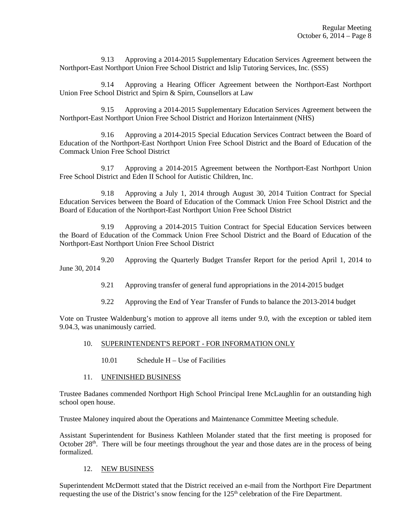9.13 Approving a 2014-2015 Supplementary Education Services Agreement between the Northport-East Northport Union Free School District and Islip Tutoring Services, Inc. (SSS)

 9.14 Approving a Hearing Officer Agreement between the Northport-East Northport Union Free School District and Spirn & Spirn, Counsellors at Law

 9.15 Approving a 2014-2015 Supplementary Education Services Agreement between the Northport-East Northport Union Free School District and Horizon Intertainment (NHS)

 9.16 Approving a 2014-2015 Special Education Services Contract between the Board of Education of the Northport-East Northport Union Free School District and the Board of Education of the Commack Union Free School District

 9.17 Approving a 2014-2015 Agreement between the Northport-East Northport Union Free School District and Eden II School for Autistic Children, Inc.

 9.18 Approving a July 1, 2014 through August 30, 2014 Tuition Contract for Special Education Services between the Board of Education of the Commack Union Free School District and the Board of Education of the Northport-East Northport Union Free School District

 9.19 Approving a 2014-2015 Tuition Contract for Special Education Services between the Board of Education of the Commack Union Free School District and the Board of Education of the Northport-East Northport Union Free School District

 9.20 Approving the Quarterly Budget Transfer Report for the period April 1, 2014 to June 30, 2014

- 9.21 Approving transfer of general fund appropriations in the 2014-2015 budget
- 9.22 Approving the End of Year Transfer of Funds to balance the 2013-2014 budget

Vote on Trustee Waldenburg's motion to approve all items under 9.0, with the exception or tabled item 9.04.3, was unanimously carried.

# 10. SUPERINTENDENT'S REPORT - FOR INFORMATION ONLY

- 10.01 Schedule H Use of Facilities
- 11. UNFINISHED BUSINESS

Trustee Badanes commended Northport High School Principal Irene McLaughlin for an outstanding high school open house.

Trustee Maloney inquired about the Operations and Maintenance Committee Meeting schedule.

Assistant Superintendent for Business Kathleen Molander stated that the first meeting is proposed for October 28<sup>th</sup>. There will be four meetings throughout the year and those dates are in the process of being formalized.

### 12. NEW BUSINESS

Superintendent McDermott stated that the District received an e-mail from the Northport Fire Department requesting the use of the District's snow fencing for the  $125<sup>th</sup>$  celebration of the Fire Department.